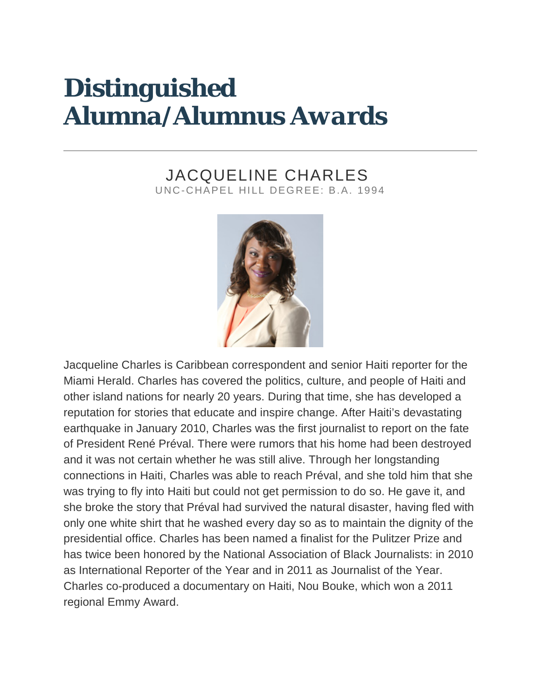# *Distinguished Alumna/Alumnus Awards*

## JACQUELINE CHARLES UNC-CHAPEL HILL DEGREE: B.A. 1994



Jacqueline Charles is Caribbean correspondent and senior Haiti reporter for the Miami Herald. Charles has covered the politics, culture, and people of Haiti and other island nations for nearly 20 years. During that time, she has developed a reputation for stories that educate and inspire change. After Haiti's devastating earthquake in January 2010, Charles was the first journalist to report on the fate of President René Préval. There were rumors that his home had been destroyed and it was not certain whether he was still alive. Through her longstanding connections in Haiti, Charles was able to reach Préval, and she told him that she was trying to fly into Haiti but could not get permission to do so. He gave it, and she broke the story that Préval had survived the natural disaster, having fled with only one white shirt that he washed every day so as to maintain the dignity of the presidential office. Charles has been named a finalist for the Pulitzer Prize and has twice been honored by the National Association of Black Journalists: in 2010 as International Reporter of the Year and in 2011 as Journalist of the Year. Charles co-produced a documentary on Haiti, Nou Bouke, which won a 2011 regional Emmy Award.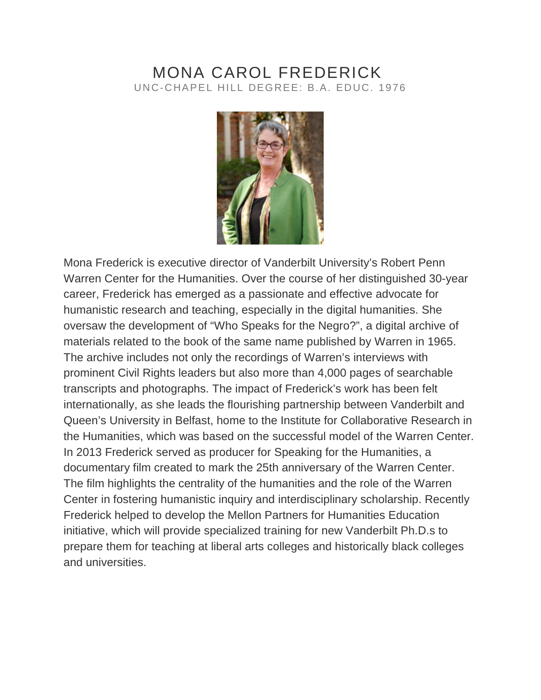#### MONA CAROL FREDERICK UNC-CHAPEL HILL DEGREE: B.A. EDUC. 1976



Mona Frederick is executive director of Vanderbilt University's Robert Penn Warren Center for the Humanities. Over the course of her distinguished 30-year career, Frederick has emerged as a passionate and effective advocate for humanistic research and teaching, especially in the digital humanities. She oversaw the development of "Who Speaks for the Negro?", a digital archive of materials related to the book of the same name published by Warren in 1965. The archive includes not only the recordings of Warren's interviews with prominent Civil Rights leaders but also more than 4,000 pages of searchable transcripts and photographs. The impact of Frederick's work has been felt internationally, as she leads the flourishing partnership between Vanderbilt and Queen's University in Belfast, home to the Institute for Collaborative Research in the Humanities, which was based on the successful model of the Warren Center. In 2013 Frederick served as producer for Speaking for the Humanities, a documentary film created to mark the 25th anniversary of the Warren Center. The film highlights the centrality of the humanities and the role of the Warren Center in fostering humanistic inquiry and interdisciplinary scholarship. Recently Frederick helped to develop the Mellon Partners for Humanities Education initiative, which will provide specialized training for new Vanderbilt Ph.D.s to prepare them for teaching at liberal arts colleges and historically black colleges and universities.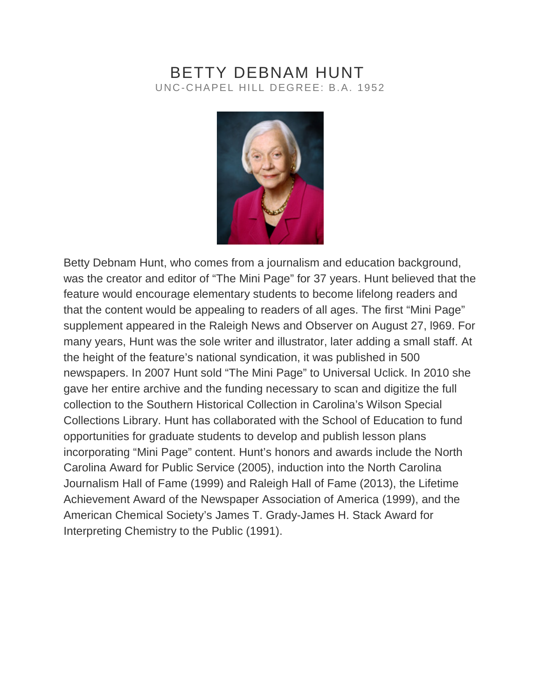# BETTY DEBNAM HUNT UNC-CHAPEL HILL DEGREE: B.A. 1952



Betty Debnam Hunt, who comes from a journalism and education background, was the creator and editor of "The Mini Page" for 37 years. Hunt believed that the feature would encourage elementary students to become lifelong readers and that the content would be appealing to readers of all ages. The first "Mini Page" supplement appeared in the Raleigh News and Observer on August 27, l969. For many years, Hunt was the sole writer and illustrator, later adding a small staff. At the height of the feature's national syndication, it was published in 500 newspapers. In 2007 Hunt sold "The Mini Page" to Universal Uclick. In 2010 she gave her entire archive and the funding necessary to scan and digitize the full collection to the Southern Historical Collection in Carolina's Wilson Special Collections Library. Hunt has collaborated with the School of Education to fund opportunities for graduate students to develop and publish lesson plans incorporating "Mini Page" content. Hunt's honors and awards include the North Carolina Award for Public Service (2005), induction into the North Carolina Journalism Hall of Fame (1999) and Raleigh Hall of Fame (2013), the Lifetime Achievement Award of the Newspaper Association of America (1999), and the American Chemical Society's James T. Grady-James H. Stack Award for Interpreting Chemistry to the Public (1991).